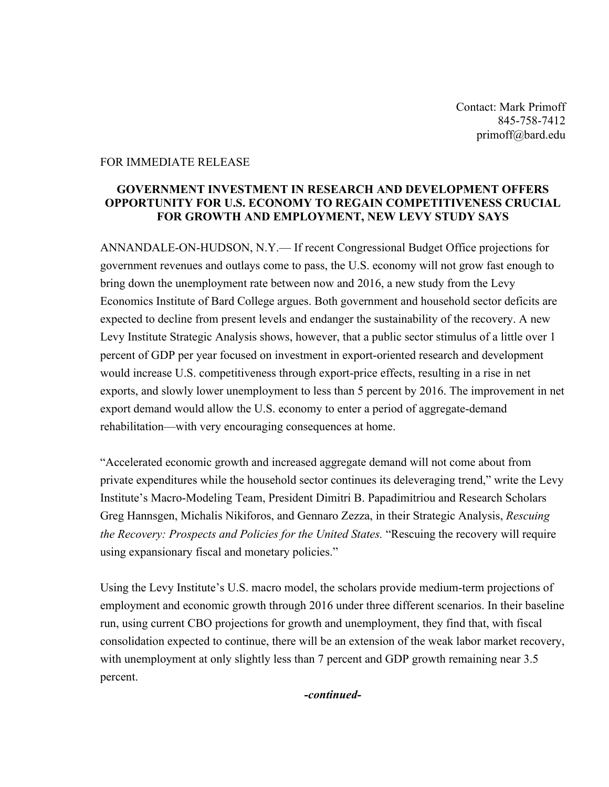Contact: Mark Primoff 845-758-7412 primoff@bard.edu

## FOR IMMEDIATE RELEASE

## **GOVERNMENT INVESTMENT IN RESEARCH AND DEVELOPMENT OFFERS OPPORTUNITY FOR U.S. ECONOMY TO REGAIN COMPETITIVENESS CRUCIAL FOR GROWTH AND EMPLOYMENT, NEW LEVY STUDY SAYS**

ANNANDALE-ON-HUDSON, N.Y.— If recent Congressional Budget Office projections for government revenues and outlays come to pass, the U.S. economy will not grow fast enough to bring down the unemployment rate between now and 2016, a new study from the Levy Economics Institute of Bard College argues. Both government and household sector deficits are expected to decline from present levels and endanger the sustainability of the recovery. A new Levy Institute Strategic Analysis shows, however, that a public sector stimulus of a little over 1 percent of GDP per year focused on investment in export-oriented research and development would increase U.S. competitiveness through export-price effects, resulting in a rise in net exports, and slowly lower unemployment to less than 5 percent by 2016. The improvement in net export demand would allow the U.S. economy to enter a period of aggregate-demand rehabilitation—with very encouraging consequences at home.

"Accelerated economic growth and increased aggregate demand will not come about from private expenditures while the household sector continues its deleveraging trend," write the Levy Institute's Macro-Modeling Team, President Dimitri B. Papadimitriou and Research Scholars Greg Hannsgen, Michalis Nikiforos, and Gennaro Zezza, in their Strategic Analysis, *Rescuing the Recovery: Prospects and Policies for the United States.* "Rescuing the recovery will require using expansionary fiscal and monetary policies."

Using the Levy Institute's U.S. macro model, the scholars provide medium-term projections of employment and economic growth through 2016 under three different scenarios. In their baseline run, using current CBO projections for growth and unemployment, they find that, with fiscal consolidation expected to continue, there will be an extension of the weak labor market recovery, with unemployment at only slightly less than 7 percent and GDP growth remaining near 3.5 percent.

*-continued-*